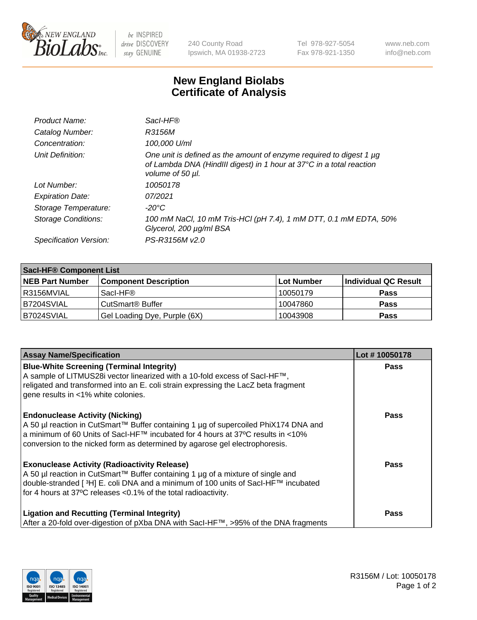

 $be$  INSPIRED drive DISCOVERY stay GENUINE

240 County Road Ipswich, MA 01938-2723 Tel 978-927-5054 Fax 978-921-1350 www.neb.com info@neb.com

## **New England Biolabs Certificate of Analysis**

| Product Name:              | Sacl-HF®                                                                                                                                                        |
|----------------------------|-----------------------------------------------------------------------------------------------------------------------------------------------------------------|
| Catalog Number:            | R3156M                                                                                                                                                          |
| Concentration:             | 100,000 U/ml                                                                                                                                                    |
| Unit Definition:           | One unit is defined as the amount of enzyme required to digest 1 µg<br>of Lambda DNA (HindIII digest) in 1 hour at 37°C in a total reaction<br>volume of 50 µl. |
| Lot Number:                | 10050178                                                                                                                                                        |
| <b>Expiration Date:</b>    | 07/2021                                                                                                                                                         |
| Storage Temperature:       | -20°C                                                                                                                                                           |
| <b>Storage Conditions:</b> | 100 mM NaCl, 10 mM Tris-HCl (pH 7.4), 1 mM DTT, 0.1 mM EDTA, 50%<br>Glycerol, 200 µg/ml BSA                                                                     |
| Specification Version:     | PS-R3156M v2.0                                                                                                                                                  |

| <b>Saci-HF® Component List</b> |                              |            |                      |  |  |
|--------------------------------|------------------------------|------------|----------------------|--|--|
| <b>NEB Part Number</b>         | <b>Component Description</b> | Lot Number | Individual QC Result |  |  |
| I R3156MVIAL                   | Sacl-HF®                     | 10050179   | <b>Pass</b>          |  |  |
| B7204SVIAL                     | CutSmart <sup>®</sup> Buffer | 10047860   | <b>Pass</b>          |  |  |
| IB7024SVIAL                    | Gel Loading Dye, Purple (6X) | 10043908   | <b>Pass</b>          |  |  |

| <b>Assay Name/Specification</b>                                                                                                                                                                                                                                                                            | Lot #10050178 |
|------------------------------------------------------------------------------------------------------------------------------------------------------------------------------------------------------------------------------------------------------------------------------------------------------------|---------------|
| <b>Blue-White Screening (Terminal Integrity)</b><br>A sample of LITMUS28i vector linearized with a 10-fold excess of SacI-HF™,<br>religated and transformed into an E. coli strain expressing the LacZ beta fragment<br>gene results in <1% white colonies.                                                | <b>Pass</b>   |
| <b>Endonuclease Activity (Nicking)</b><br>A 50 µl reaction in CutSmart™ Buffer containing 1 µg of supercoiled PhiX174 DNA and<br>a minimum of 60 Units of Sacl-HF™ incubated for 4 hours at 37°C results in <10%<br>conversion to the nicked form as determined by agarose gel electrophoresis.            | Pass          |
| <b>Exonuclease Activity (Radioactivity Release)</b><br>A 50 µl reaction in CutSmart™ Buffer containing 1 µg of a mixture of single and<br>double-stranded [ <sup>3</sup> H] E. coli DNA and a minimum of 100 units of Sacl-HF™ incubated<br>for 4 hours at 37°C releases <0.1% of the total radioactivity. | <b>Pass</b>   |
| <b>Ligation and Recutting (Terminal Integrity)</b><br>After a 20-fold over-digestion of pXba DNA with Sacl-HF™, >95% of the DNA fragments                                                                                                                                                                  | Pass          |